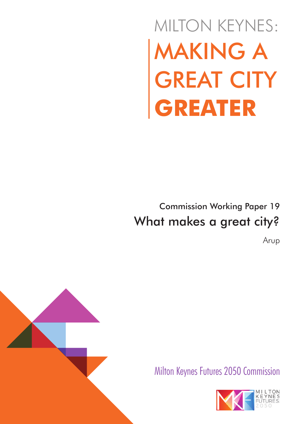# MAKING A GREAT CITY **GREATER** MILTON KEYNES:

# Commission Working Paper 19 What makes a great city?

Arup





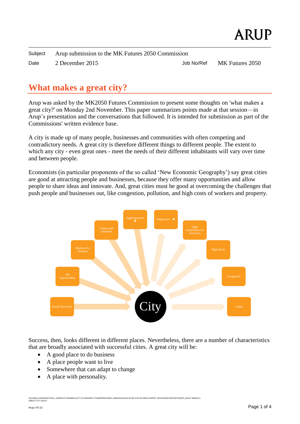| Subject | Arup submission to the MK Futures 2050 Commission |            |                 |
|---------|---------------------------------------------------|------------|-----------------|
| Date    | 2 December 2015                                   | Job No/Ref | MK Futures 2050 |

# **What makes a great city?**

Arup was asked by the MK2050 Futures Commission to present some thoughts on 'what makes a great city?' on Monday 2nd November. This paper summarizes points made at that session—in Arup's presentation and the conversations that followed. It is intended for submission as part of the Commissions' written evidence base.

A city is made up of many people, businesses and communities with often competing and contradictory needs. A great city is therefore different things to different people. The extent to which any city - even great ones - meet the needs of their different inhabitants will vary over time and between people.

Economists (in particular proponents of the so called 'New Economic Geography') say great cities are good at attracting people and businesses, because they offer many opportunities and allow people to share ideas and innovate. And, great cities must be good at overcoming the challenges that push people and businesses out, like congestion, pollution, and high costs of workers and property.



Success, then, looks different in different places. Nevertheless, there are a number of characteristics that are broadly associated with successful cities. A great city will be:

- A good place to do business
- A place people want to live
- Somewhere that can adapt to change
- A place with personality.

.<br>TG\CL-JOBS\PLP GENERAL\CITY ECONOMICS TEAM\PROPOSED JOBS\2015-2015-09 MILTON KEYNES EXPERT ADVISOR\05 REPORT\ARUP\_WHAT MAKES *NGLOBAL/LONDON*<br>GREAT CITY.DOCX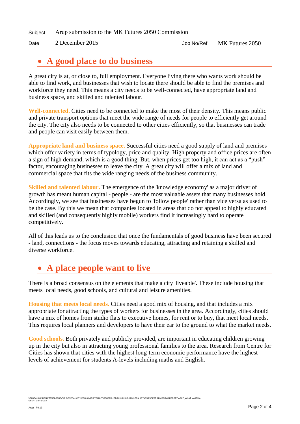Subject Arup submission to the MK Futures 2050 Commission

Date 2 December 2015 Job No/Ref MK Futures 2050

#### **A good place to do business**

A great city is at, or close to, full employment. Everyone living there who wants work should be able to find work, and businesses that wish to locate there should be able to find the premises and workforce they need. This means a city needs to be well-connected, have appropriate land and business space, and skilled and talented labour.

**Well-connected.** Cities need to be connected to make the most of their density. This means public and private transport options that meet the wide range of needs for people to efficiently get around the city. The city also needs to be connected to other cities efficiently, so that businesses can trade and people can visit easily between them.

**Appropriate land and business space.** Successful cities need a good supply of land and premises which offer variety in terms of typology, price and quality. High property and office prices are often a sign of high demand, which is a good thing. But, when prices get too high, it can act as a "push" factor, encouraging businesses to leave the city. A great city will offer a mix of land and commercial space that fits the wide ranging needs of the business community.

**Skilled and talented labour.** The emergence of the 'knowledge economy' as a major driver of growth has meant human capital - people - are the most valuable assets that many businesses hold. Accordingly, we see that businesses have begun to 'follow people' rather than vice versa as used to be the case. By this we mean that companies located in areas that do not appeal to highly educated and skilled (and consequently highly mobile) workers find it increasingly hard to operate competitively.

All of this leads us to the conclusion that once the fundamentals of good business have been secured - land, connections - the focus moves towards educating, attracting and retaining a skilled and diverse workforce.

# **A place people want to live**

There is a broad consensus on the elements that make a city 'liveable'. These include housing that meets local needs, good schools, and cultural and leisure amenities.

**Housing that meets local needs.** Cities need a good mix of housing, and that includes a mix appropriate for attracting the types of workers for businesses in the area. Accordingly, cities should have a mix of homes from studio flats to executive homes, for rent or to buy, that meet local needs. This requires local planners and developers to have their ear to the ground to what the market needs.

**Good schools.** Both privately and publicly provided, are important in educating children growing up in the city but also in attracting young professional families to the area. Research from Centre for Cities has shown that cities with the highest long-term economic performance have the highest levels of achievement for students A-levels including maths and English.

\\GLOBAL\LONDONPTG\ICL-JOBS\PLP GENERAL\CITY ECONOMICS TEAM\PROPOSED JOBS\2015\2015-09 MILTON KEYNES EXPERT ADVISOR\05 REPORT\ARUP\_WHAT MAKES A<br>GREAT CITY.DOCX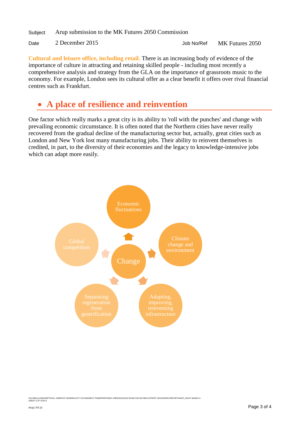Subject Arup submission to the MK Futures 2050 Commission

```
Date 2 December 2015 Job No/Ref MK Futures 2050
```
**Cultural and leisure office, including retail.** There is an increasing body of evidence of the importance of culture in attracting and retaining skilled people - including most recently a comprehensive analysis and strategy from the GLA on the importance of grassroots music to the economy. For example, London sees its cultural offer as a clear benefit it offers over rival financial centres such as Frankfurt.

## **A place of resilience and reinvention**

One factor which really marks a great city is its ability to 'roll with the punches' and change with prevailing economic circumstance. It is often noted that the Northern cities have never really recovered from the gradual decline of the manufacturing sector but, actually, great cities such as London and New York lost many manufacturing jobs. Their ability to reinvent themselves is credited, in part, to the diversity of their economies and the legacy to knowledge-intensive jobs which can adapt more easily.



\\GLOBAL\LONDONPTG\ICL-JOBS\PLP GENERAL\CITY ECONOMICS TEAM\PROPOSED JOBS\2015\2015-09 MILTON KEYNES EXPERT ADVISOR\05 REPORT\ARUP\_WHAT MAKES A<br>GREAT CITY.DOCX